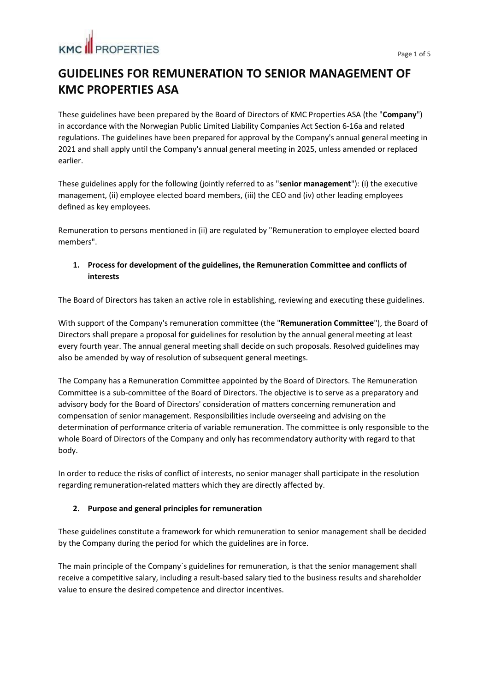# **KMC II PROPERTIES**

## **GUIDELINES FOR REMUNERATION TO SENIOR MANAGEMENT OF KMC PROPERTIES ASA**

These guidelines have been prepared by the Board of Directors of KMC Properties ASA (the "**Company**") in accordance with the Norwegian Public Limited Liability Companies Act Section 6-16a and related regulations. The guidelines have been prepared for approval by the Company's annual general meeting in 2021 and shall apply until the Company's annual general meeting in 2025, unless amended or replaced earlier.

These guidelines apply for the following (jointly referred to as "**senior management**"): (i) the executive management, (ii) employee elected board members, (iii) the CEO and (iv) other leading employees defined as key employees.

Remuneration to persons mentioned in (ii) are regulated by "Remuneration to employee elected board members".

### **1. Process for development of the guidelines, the Remuneration Committee and conflicts of interests**

The Board of Directors has taken an active role in establishing, reviewing and executing these guidelines.

With support of the Company's remuneration committee (the "**Remuneration Committee**"), the Board of Directors shall prepare a proposal for guidelines for resolution by the annual general meeting at least every fourth year. The annual general meeting shall decide on such proposals. Resolved guidelines may also be amended by way of resolution of subsequent general meetings.

The Company has a Remuneration Committee appointed by the Board of Directors. The Remuneration Committee is a sub-committee of the Board of Directors. The objective is to serve as a preparatory and advisory body for the Board of Directors' consideration of matters concerning remuneration and compensation of senior management. Responsibilities include overseeing and advising on the determination of performance criteria of variable remuneration. The committee is only responsible to the whole Board of Directors of the Company and only has recommendatory authority with regard to that body.

In order to reduce the risks of conflict of interests, no senior manager shall participate in the resolution regarding remuneration-related matters which they are directly affected by.

### **2. Purpose and general principles for remuneration**

These guidelines constitute a framework for which remuneration to senior management shall be decided by the Company during the period for which the guidelines are in force.

The main principle of the Company`s guidelines for remuneration, is that the senior management shall receive a competitive salary, including a result-based salary tied to the business results and shareholder value to ensure the desired competence and director incentives.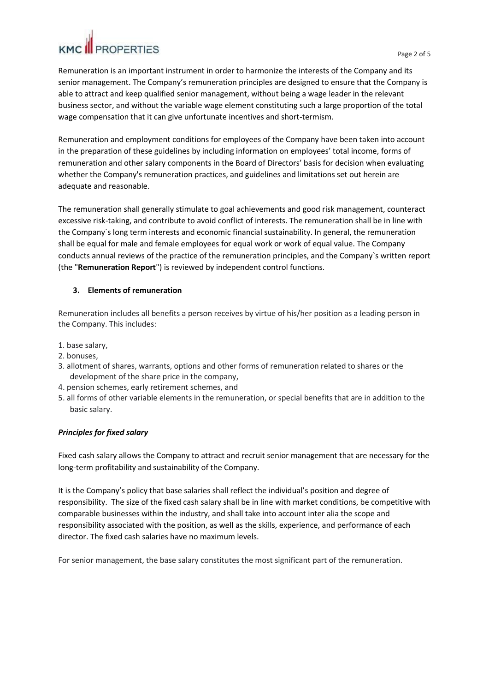Remuneration is an important instrument in order to harmonize the interests of the Company and its senior management. The Company's remuneration principles are designed to ensure that the Company is able to attract and keep qualified senior management, without being a wage leader in the relevant business sector, and without the variable wage element constituting such a large proportion of the total wage compensation that it can give unfortunate incentives and short-termism.

Remuneration and employment conditions for employees of the Company have been taken into account in the preparation of these guidelines by including information on employees' total income, forms of remuneration and other salary components in the Board of Directors' basis for decision when evaluating whether the Company's remuneration practices, and guidelines and limitations set out herein are adequate and reasonable.

The remuneration shall generally stimulate to goal achievements and good risk management, counteract excessive risk-taking, and contribute to avoid conflict of interests. The remuneration shall be in line with the Company`s long term interests and economic financial sustainability. In general, the remuneration shall be equal for male and female employees for equal work or work of equal value. The Company conducts annual reviews of the practice of the remuneration principles, and the Company`s written report (the "**Remuneration Report**") is reviewed by independent control functions.

#### **3. Elements of remuneration**

Remuneration includes all benefits a person receives by virtue of his/her position as a leading person in the Company. This includes:

- 1. base salary,
- 2. bonuses,
- 3. allotment of shares, warrants, options and other forms of remuneration related to shares or the development of the share price in the company,
- 4. pension schemes, early retirement schemes, and
- 5. all forms of other variable elements in the remuneration, or special benefits that are in addition to the basic salary.

#### *Principles for fixed salary*

Fixed cash salary allows the Company to attract and recruit senior management that are necessary for the long-term profitability and sustainability of the Company.

It is the Company's policy that base salaries shall reflect the individual's position and degree of responsibility. The size of the fixed cash salary shall be in line with market conditions, be competitive with comparable businesses within the industry, and shall take into account inter alia the scope and responsibility associated with the position, as well as the skills, experience, and performance of each director. The fixed cash salaries have no maximum levels.

For senior management, the base salary constitutes the most significant part of the remuneration.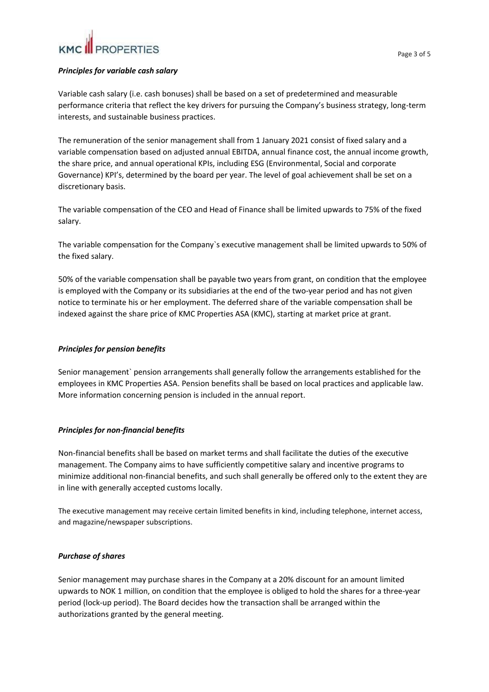#### *Principles for variable cash salary*

Variable cash salary (i.e. cash bonuses) shall be based on a set of predetermined and measurable performance criteria that reflect the key drivers for pursuing the Company's business strategy, long-term interests, and sustainable business practices.

The remuneration of the senior management shall from 1 January 2021 consist of fixed salary and a variable compensation based on adjusted annual EBITDA, annual finance cost, the annual income growth, the share price, and annual operational KPIs, including ESG (Environmental, Social and corporate Governance) KPI's, determined by the board per year. The level of goal achievement shall be set on a discretionary basis.

The variable compensation of the CEO and Head of Finance shall be limited upwards to 75% of the fixed salary.

The variable compensation for the Company`s executive management shall be limited upwards to 50% of the fixed salary.

50% of the variable compensation shall be payable two years from grant, on condition that the employee is employed with the Company or its subsidiaries at the end of the two-year period and has not given notice to terminate his or her employment. The deferred share of the variable compensation shall be indexed against the share price of KMC Properties ASA (KMC), starting at market price at grant.

#### *Principles for pension benefits*

Senior management` pension arrangements shall generally follow the arrangements established for the employees in KMC Properties ASA. Pension benefits shall be based on local practices and applicable law. More information concerning pension is included in the annual report.

### *Principles for non-financial benefits*

Non-financial benefits shall be based on market terms and shall facilitate the duties of the executive management. The Company aims to have sufficiently competitive salary and incentive programs to minimize additional non-financial benefits, and such shall generally be offered only to the extent they are in line with generally accepted customs locally.

The executive management may receive certain limited benefits in kind, including telephone, internet access, and magazine/newspaper subscriptions.

#### *Purchase of shares*

Senior management may purchase shares in the Company at a 20% discount for an amount limited upwards to NOK 1 million, on condition that the employee is obliged to hold the shares for a three-year period (lock-up period). The Board decides how the transaction shall be arranged within the authorizations granted by the general meeting.